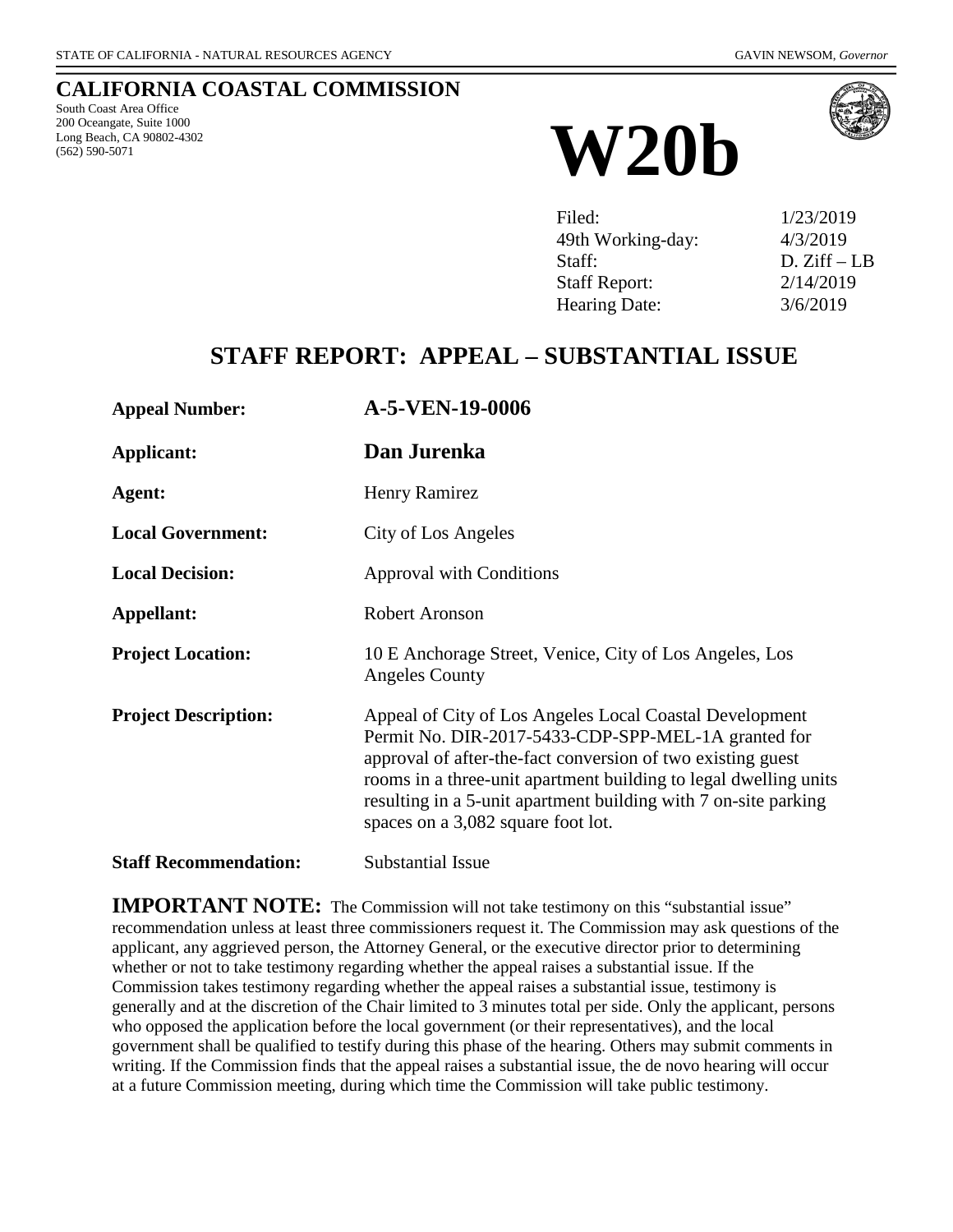#### **CALIFORNIA COASTAL COMMISSION**

South Coast Area Office 200 Oceangate, Suite 1000 Long Beach, CA 90802-4302



| Filed:               | 1/23/2019    |
|----------------------|--------------|
| 49th Working-day:    | 4/3/2019     |
| Staff:               | $D. Ziff-LB$ |
| <b>Staff Report:</b> | 2/14/2019    |
| Hearing Date:        | 3/6/2019     |

## **STAFF REPORT: APPEAL – SUBSTANTIAL ISSUE**

| <b>Appeal Number:</b>        | A-5-VEN-19-0006                                                                                                                                                                                                                                                                                                                                            |
|------------------------------|------------------------------------------------------------------------------------------------------------------------------------------------------------------------------------------------------------------------------------------------------------------------------------------------------------------------------------------------------------|
| <b>Applicant:</b>            | Dan Jurenka                                                                                                                                                                                                                                                                                                                                                |
| Agent:                       | Henry Ramirez                                                                                                                                                                                                                                                                                                                                              |
| <b>Local Government:</b>     | City of Los Angeles                                                                                                                                                                                                                                                                                                                                        |
| <b>Local Decision:</b>       | <b>Approval with Conditions</b>                                                                                                                                                                                                                                                                                                                            |
| Appellant:                   | Robert Aronson                                                                                                                                                                                                                                                                                                                                             |
| <b>Project Location:</b>     | 10 E Anchorage Street, Venice, City of Los Angeles, Los<br><b>Angeles County</b>                                                                                                                                                                                                                                                                           |
| <b>Project Description:</b>  | Appeal of City of Los Angeles Local Coastal Development<br>Permit No. DIR-2017-5433-CDP-SPP-MEL-1A granted for<br>approval of after-the-fact conversion of two existing guest<br>rooms in a three-unit apartment building to legal dwelling units<br>resulting in a 5-unit apartment building with 7 on-site parking<br>spaces on a 3,082 square foot lot. |
| <b>Staff Recommendation:</b> | Substantial Issue                                                                                                                                                                                                                                                                                                                                          |

**IMPORTANT NOTE:** The Commission will not take testimony on this "substantial issue" recommendation unless at least three commissioners request it. The Commission may ask questions of the applicant, any aggrieved person, the Attorney General, or the executive director prior to determining whether or not to take testimony regarding whether the appeal raises a substantial issue. If the Commission takes testimony regarding whether the appeal raises a substantial issue, testimony is generally and at the discretion of the Chair limited to 3 minutes total per side. Only the applicant, persons who opposed the application before the local government (or their representatives), and the local government shall be qualified to testify during this phase of the hearing. Others may submit comments in writing. If the Commission finds that the appeal raises a substantial issue, the de novo hearing will occur at a future Commission meeting, during which time the Commission will take public testimony.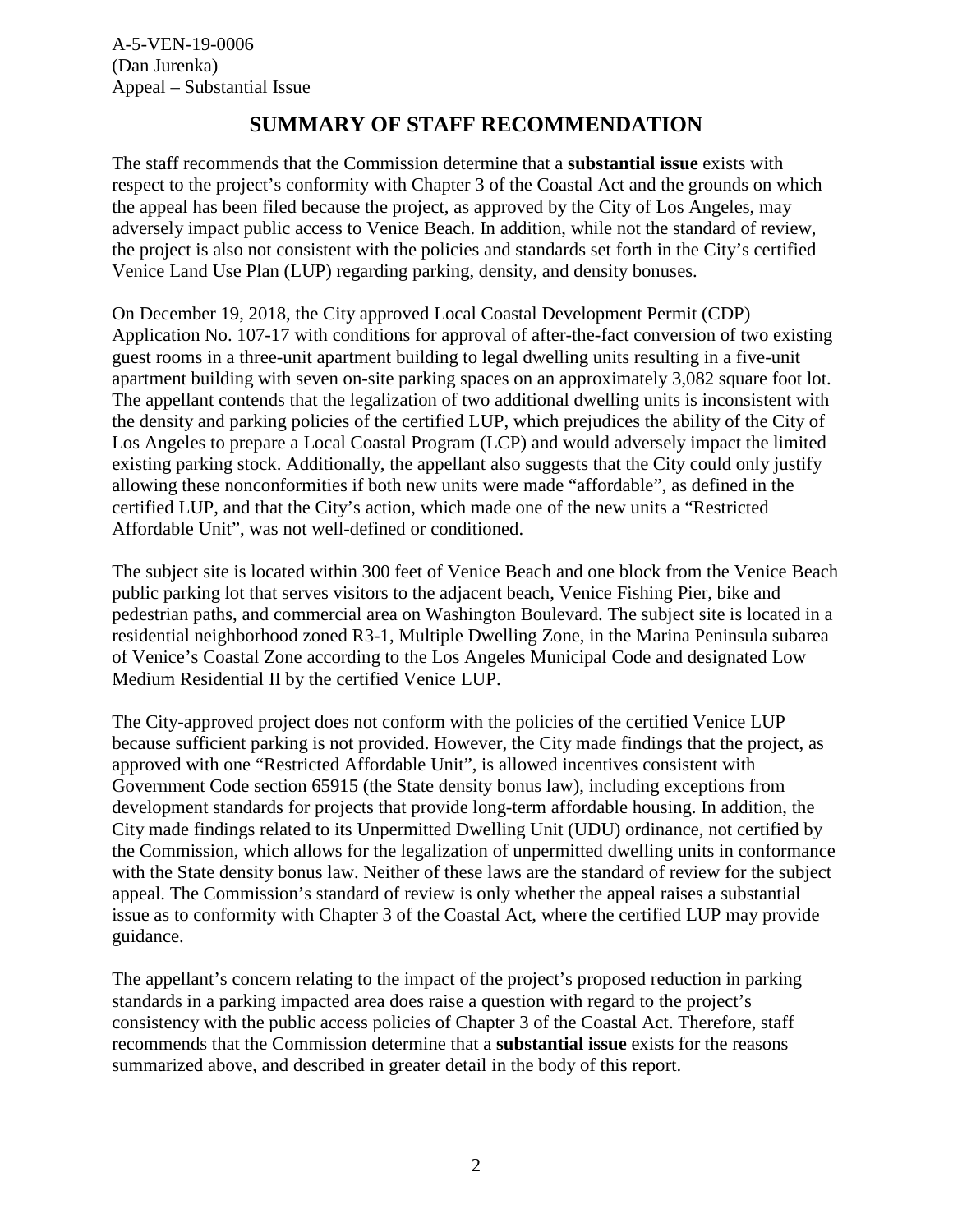### **SUMMARY OF STAFF RECOMMENDATION**

The staff recommends that the Commission determine that a **substantial issue** exists with respect to the project's conformity with Chapter 3 of the Coastal Act and the grounds on which the appeal has been filed because the project, as approved by the City of Los Angeles, may adversely impact public access to Venice Beach. In addition, while not the standard of review, the project is also not consistent with the policies and standards set forth in the City's certified Venice Land Use Plan (LUP) regarding parking, density, and density bonuses.

On December 19, 2018, the City approved Local Coastal Development Permit (CDP) Application No. 107-17 with conditions for approval of after-the-fact conversion of two existing guest rooms in a three-unit apartment building to legal dwelling units resulting in a five-unit apartment building with seven on-site parking spaces on an approximately 3,082 square foot lot. The appellant contends that the legalization of two additional dwelling units is inconsistent with the density and parking policies of the certified LUP, which prejudices the ability of the City of Los Angeles to prepare a Local Coastal Program (LCP) and would adversely impact the limited existing parking stock. Additionally, the appellant also suggests that the City could only justify allowing these nonconformities if both new units were made "affordable", as defined in the certified LUP, and that the City's action, which made one of the new units a "Restricted Affordable Unit", was not well-defined or conditioned.

The subject site is located within 300 feet of Venice Beach and one block from the Venice Beach public parking lot that serves visitors to the adjacent beach, Venice Fishing Pier, bike and pedestrian paths, and commercial area on Washington Boulevard. The subject site is located in a residential neighborhood zoned R3-1, Multiple Dwelling Zone, in the Marina Peninsula subarea of Venice's Coastal Zone according to the Los Angeles Municipal Code and designated Low Medium Residential II by the certified Venice LUP.

The City-approved project does not conform with the policies of the certified Venice LUP because sufficient parking is not provided. However, the City made findings that the project, as approved with one "Restricted Affordable Unit", is allowed incentives consistent with Government Code section 65915 (the State density bonus law), including exceptions from development standards for projects that provide long-term affordable housing. In addition, the City made findings related to its Unpermitted Dwelling Unit (UDU) ordinance, not certified by the Commission, which allows for the legalization of unpermitted dwelling units in conformance with the State density bonus law. Neither of these laws are the standard of review for the subject appeal. The Commission's standard of review is only whether the appeal raises a substantial issue as to conformity with Chapter 3 of the Coastal Act, where the certified LUP may provide guidance.

The appellant's concern relating to the impact of the project's proposed reduction in parking standards in a parking impacted area does raise a question with regard to the project's consistency with the public access policies of Chapter 3 of the Coastal Act. Therefore, staff recommends that the Commission determine that a **substantial issue** exists for the reasons summarized above, and described in greater detail in the body of this report.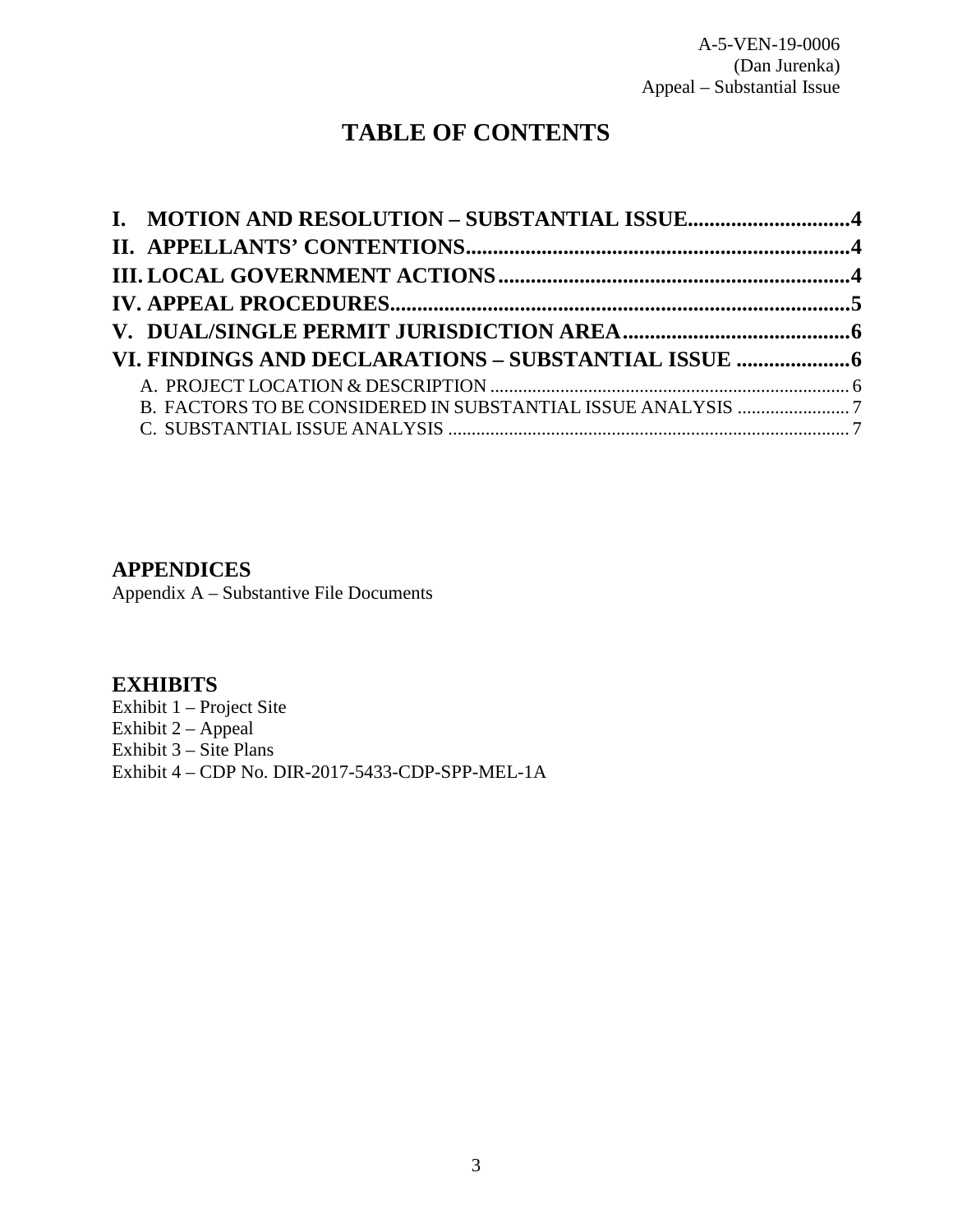## **TABLE OF CONTENTS**

| I. MOTION AND RESOLUTION - SUBSTANTIAL ISSUE4 |  |
|-----------------------------------------------|--|
|                                               |  |
|                                               |  |
|                                               |  |
|                                               |  |
|                                               |  |
|                                               |  |
|                                               |  |
|                                               |  |

#### **APPENDICES**

[Appendix A – Substantive File Documents](#page-14-0)

#### **EXHIBITS**

[Exhibit 1 – Project Site](https://documents.coastal.ca.gov/reports/2019/3/W20b/W20b-3-2019-exhibits.pdf) Exhibit  $2 - \text{Append}$ [Exhibit 3 – Site Plans](https://documents.coastal.ca.gov/reports/2019/3/W20b/W20b-3-2019-exhibits.pdf) [Exhibit 4 – CDP No. DIR-2017-5433-CDP-SPP-MEL-1A](https://documents.coastal.ca.gov/reports/2019/3/W20b/W20b-3-2019-exhibits.pdf)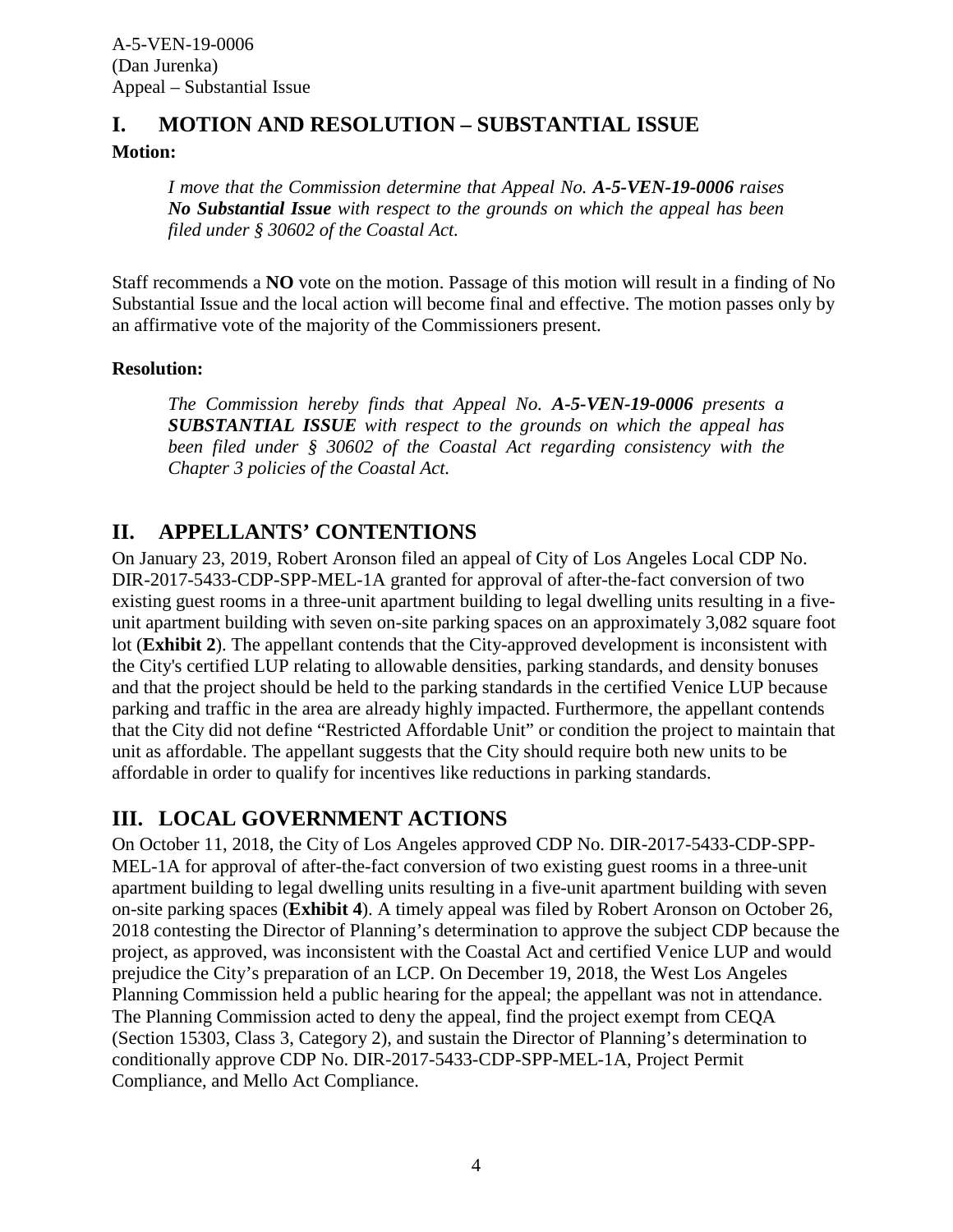# <span id="page-3-0"></span>**I. MOTION AND RESOLUTION – SUBSTANTIAL ISSUE**

**Motion:**

*I move that the Commission determine that Appeal No. A-5-VEN-19-0006 raises No Substantial Issue with respect to the grounds on which the appeal has been filed under § 30602 of the Coastal Act.*

Staff recommends a **NO** vote on the motion. Passage of this motion will result in a finding of No Substantial Issue and the local action will become final and effective. The motion passes only by an affirmative vote of the majority of the Commissioners present.

#### **Resolution:**

*The Commission hereby finds that Appeal No. A-5-VEN-19-0006 presents a SUBSTANTIAL ISSUE with respect to the grounds on which the appeal has been filed under § 30602 of the Coastal Act regarding consistency with the Chapter 3 policies of the Coastal Act.*

## <span id="page-3-1"></span>**II. APPELLANTS' CONTENTIONS**

On January 23, 2019, Robert Aronson filed an appeal of City of Los Angeles Local CDP No. DIR-2017-5433-CDP-SPP-MEL-1A granted for approval of after-the-fact conversion of two existing guest rooms in a three-unit apartment building to legal dwelling units resulting in a fiveunit apartment building with seven on-site parking spaces on an approximately 3,082 square foot lot (**[Exhibit 2](https://documents.coastal.ca.gov/reports/2019/3/W20b/W20b-3-2019-exhibits.pdf)**). The appellant contends that the City-approved development is inconsistent with the City's certified LUP relating to allowable densities, parking standards, and density bonuses and that the project should be held to the parking standards in the certified Venice LUP because parking and traffic in the area are already highly impacted. Furthermore, the appellant contends that the City did not define "Restricted Affordable Unit" or condition the project to maintain that unit as affordable. The appellant suggests that the City should require both new units to be affordable in order to qualify for incentives like reductions in parking standards.

## <span id="page-3-2"></span>**III. LOCAL GOVERNMENT ACTIONS**

On October 11, 2018, the City of Los Angeles approved CDP No. DIR-2017-5433-CDP-SPP-MEL-1A for approval of after-the-fact conversion of two existing guest rooms in a three-unit apartment building to legal dwelling units resulting in a five-unit apartment building with seven on-site parking spaces (**[Exhibit 4](https://documents.coastal.ca.gov/reports/2019/3/W20b/W20b-3-2019-exhibits.pdf)**). A timely appeal was filed by Robert Aronson on October 26, 2018 contesting the Director of Planning's determination to approve the subject CDP because the project, as approved, was inconsistent with the Coastal Act and certified Venice LUP and would prejudice the City's preparation of an LCP. On December 19, 2018, the West Los Angeles Planning Commission held a public hearing for the appeal; the appellant was not in attendance. The Planning Commission acted to deny the appeal, find the project exempt from CEQA (Section 15303, Class 3, Category 2), and sustain the Director of Planning's determination to conditionally approve CDP No. DIR-2017-5433-CDP-SPP-MEL-1A, Project Permit Compliance, and Mello Act Compliance.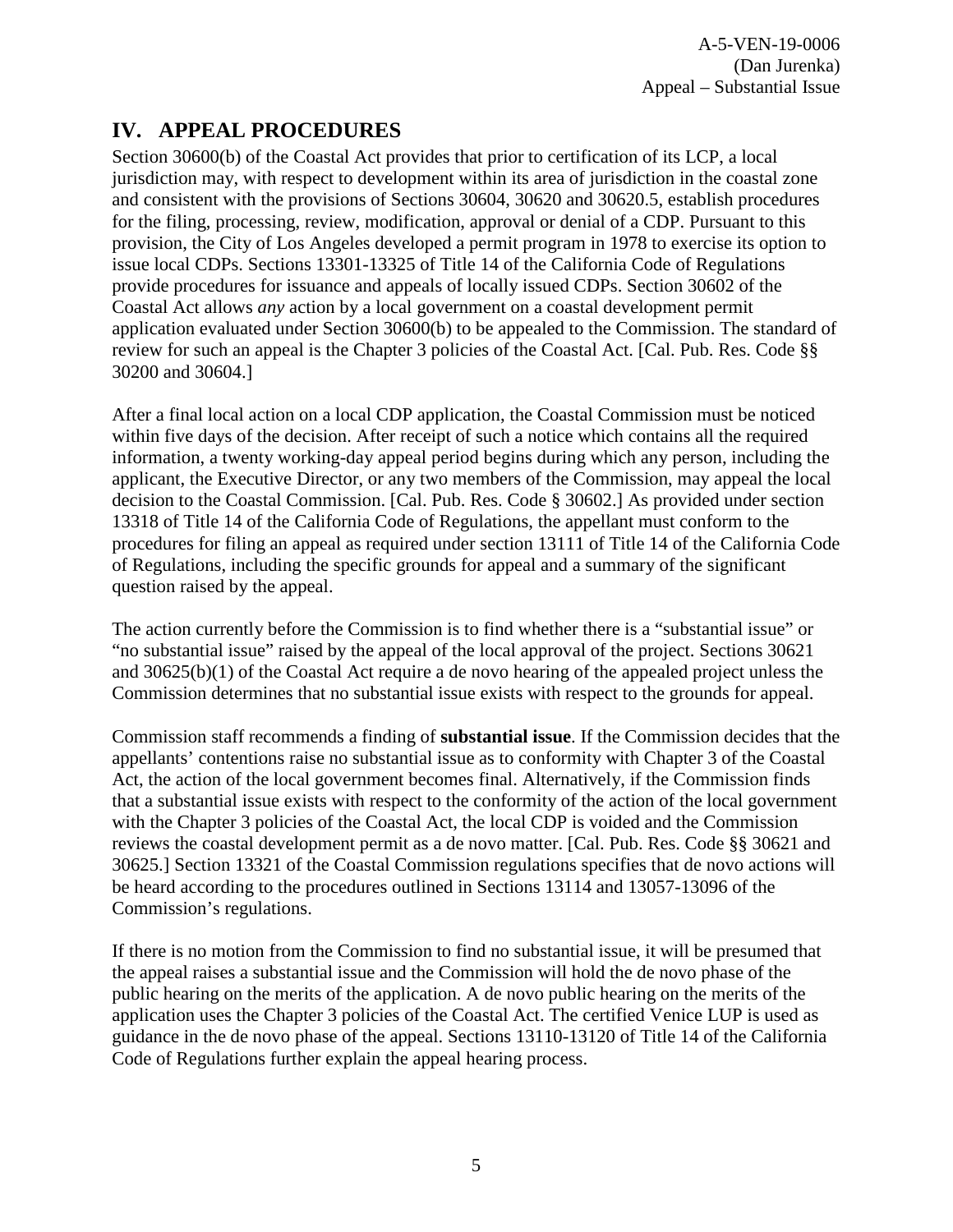## <span id="page-4-0"></span>**IV. APPEAL PROCEDURES**

Section 30600(b) of the Coastal Act provides that prior to certification of its LCP, a local jurisdiction may, with respect to development within its area of jurisdiction in the coastal zone and consistent with the provisions of Sections 30604, 30620 and 30620.5, establish procedures for the filing, processing, review, modification, approval or denial of a CDP. Pursuant to this provision, the City of Los Angeles developed a permit program in 1978 to exercise its option to issue local CDPs. Sections 13301-13325 of Title 14 of the California Code of Regulations provide procedures for issuance and appeals of locally issued CDPs. Section 30602 of the Coastal Act allows *any* action by a local government on a coastal development permit application evaluated under Section 30600(b) to be appealed to the Commission. The standard of review for such an appeal is the Chapter 3 policies of the Coastal Act. [Cal. Pub. Res. Code §§ 30200 and 30604.]

After a final local action on a local CDP application, the Coastal Commission must be noticed within five days of the decision. After receipt of such a notice which contains all the required information, a twenty working-day appeal period begins during which any person, including the applicant, the Executive Director, or any two members of the Commission, may appeal the local decision to the Coastal Commission. [Cal. Pub. Res. Code § 30602.] As provided under section 13318 of Title 14 of the California Code of Regulations, the appellant must conform to the procedures for filing an appeal as required under section 13111 of Title 14 of the California Code of Regulations, including the specific grounds for appeal and a summary of the significant question raised by the appeal.

The action currently before the Commission is to find whether there is a "substantial issue" or "no substantial issue" raised by the appeal of the local approval of the project. Sections 30621 and 30625(b)(1) of the Coastal Act require a de novo hearing of the appealed project unless the Commission determines that no substantial issue exists with respect to the grounds for appeal.

Commission staff recommends a finding of **substantial issue**. If the Commission decides that the appellants' contentions raise no substantial issue as to conformity with Chapter 3 of the Coastal Act, the action of the local government becomes final. Alternatively, if the Commission finds that a substantial issue exists with respect to the conformity of the action of the local government with the Chapter 3 policies of the Coastal Act, the local CDP is voided and the Commission reviews the coastal development permit as a de novo matter. [Cal. Pub. Res. Code §§ 30621 and 30625.] Section 13321 of the Coastal Commission regulations specifies that de novo actions will be heard according to the procedures outlined in Sections 13114 and 13057-13096 of the Commission's regulations.

If there is no motion from the Commission to find no substantial issue, it will be presumed that the appeal raises a substantial issue and the Commission will hold the de novo phase of the public hearing on the merits of the application. A de novo public hearing on the merits of the application uses the Chapter 3 policies of the Coastal Act. The certified Venice LUP is used as guidance in the de novo phase of the appeal. Sections 13110-13120 of Title 14 of the California Code of Regulations further explain the appeal hearing process.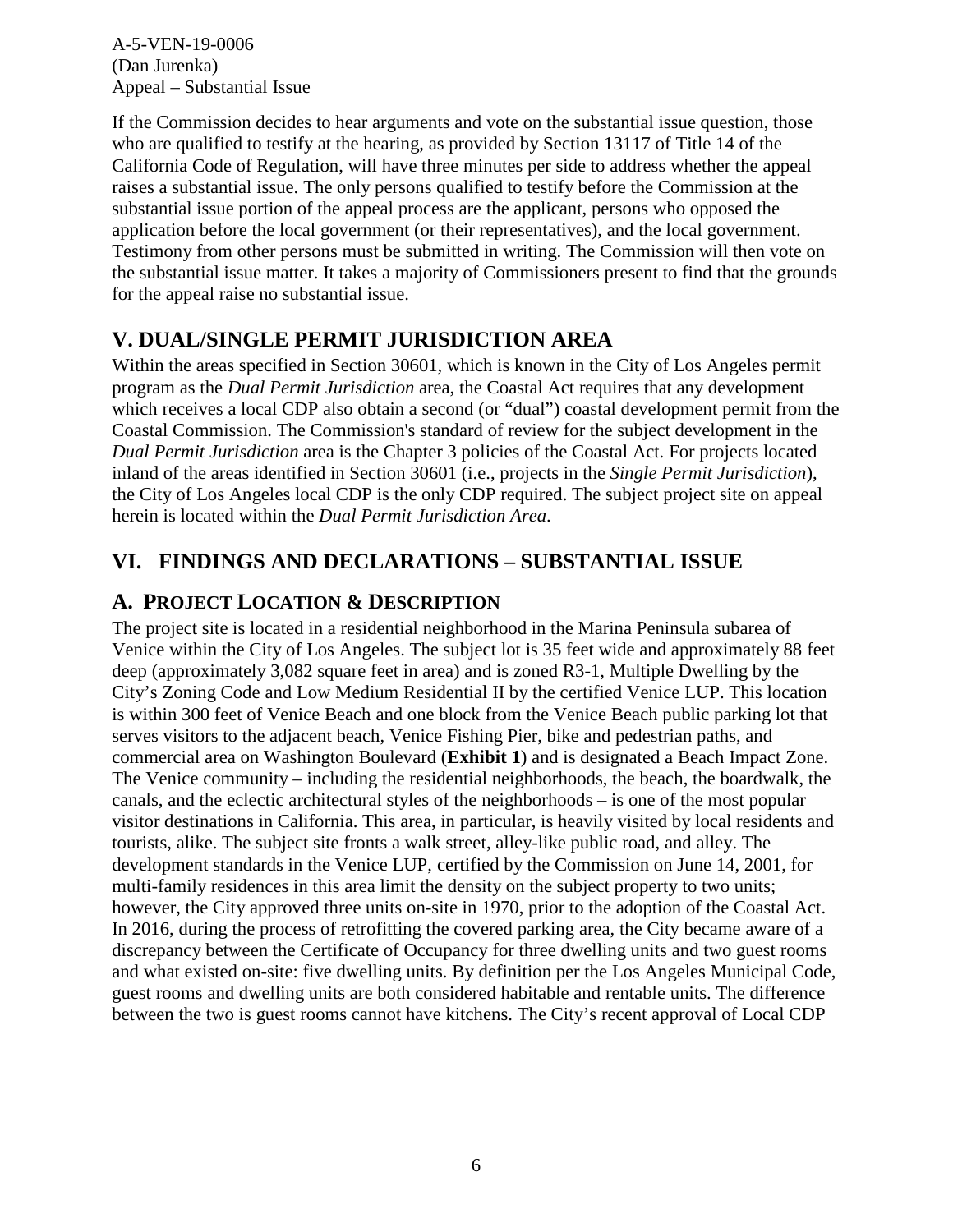If the Commission decides to hear arguments and vote on the substantial issue question, those who are qualified to testify at the hearing, as provided by Section 13117 of Title 14 of the California Code of Regulation, will have three minutes per side to address whether the appeal raises a substantial issue. The only persons qualified to testify before the Commission at the substantial issue portion of the appeal process are the applicant, persons who opposed the application before the local government (or their representatives), and the local government. Testimony from other persons must be submitted in writing. The Commission will then vote on the substantial issue matter. It takes a majority of Commissioners present to find that the grounds for the appeal raise no substantial issue.

### <span id="page-5-0"></span>**V. DUAL/SINGLE PERMIT JURISDICTION AREA**

Within the areas specified in Section 30601, which is known in the City of Los Angeles permit program as the *Dual Permit Jurisdiction* area, the Coastal Act requires that any development which receives a local CDP also obtain a second (or "dual") coastal development permit from the Coastal Commission. The Commission's standard of review for the subject development in the *Dual Permit Jurisdiction* area is the Chapter 3 policies of the Coastal Act. For projects located inland of the areas identified in Section 30601 (i.e., projects in the *Single Permit Jurisdiction*), the City of Los Angeles local CDP is the only CDP required. The subject project site on appeal herein is located within the *Dual Permit Jurisdiction Area*.

### <span id="page-5-1"></span>**VI. FINDINGS AND DECLARATIONS – SUBSTANTIAL ISSUE**

### <span id="page-5-2"></span>**A. PROJECT LOCATION & DESCRIPTION**

The project site is located in a residential neighborhood in the Marina Peninsula subarea of Venice within the City of Los Angeles. The subject lot is 35 feet wide and approximately 88 feet deep (approximately 3,082 square feet in area) and is zoned R3-1, Multiple Dwelling by the City's Zoning Code and Low Medium Residential II by the certified Venice LUP. This location is within 300 feet of Venice Beach and one block from the Venice Beach public parking lot that serves visitors to the adjacent beach, Venice Fishing Pier, bike and pedestrian paths, and commercial area on Washington Boulevard (**[Exhibit 1](https://documents.coastal.ca.gov/reports/2019/3/W20b/W20b-3-2019-exhibits.pdf)**) and is designated a Beach Impact Zone. The Venice community – including the residential neighborhoods, the beach, the boardwalk, the canals, and the eclectic architectural styles of the neighborhoods – is one of the most popular visitor destinations in California. This area, in particular, is heavily visited by local residents and tourists, alike. The subject site fronts a walk street, alley-like public road, and alley. The development standards in the Venice LUP, certified by the Commission on June 14, 2001, for multi-family residences in this area limit the density on the subject property to two units; however, the City approved three units on-site in 1970, prior to the adoption of the Coastal Act. In 2016, during the process of retrofitting the covered parking area, the City became aware of a discrepancy between the Certificate of Occupancy for three dwelling units and two guest rooms and what existed on-site: five dwelling units. By definition per the Los Angeles Municipal Code, guest rooms and dwelling units are both considered habitable and rentable units. The difference between the two is guest rooms cannot have kitchens. The City's recent approval of Local CDP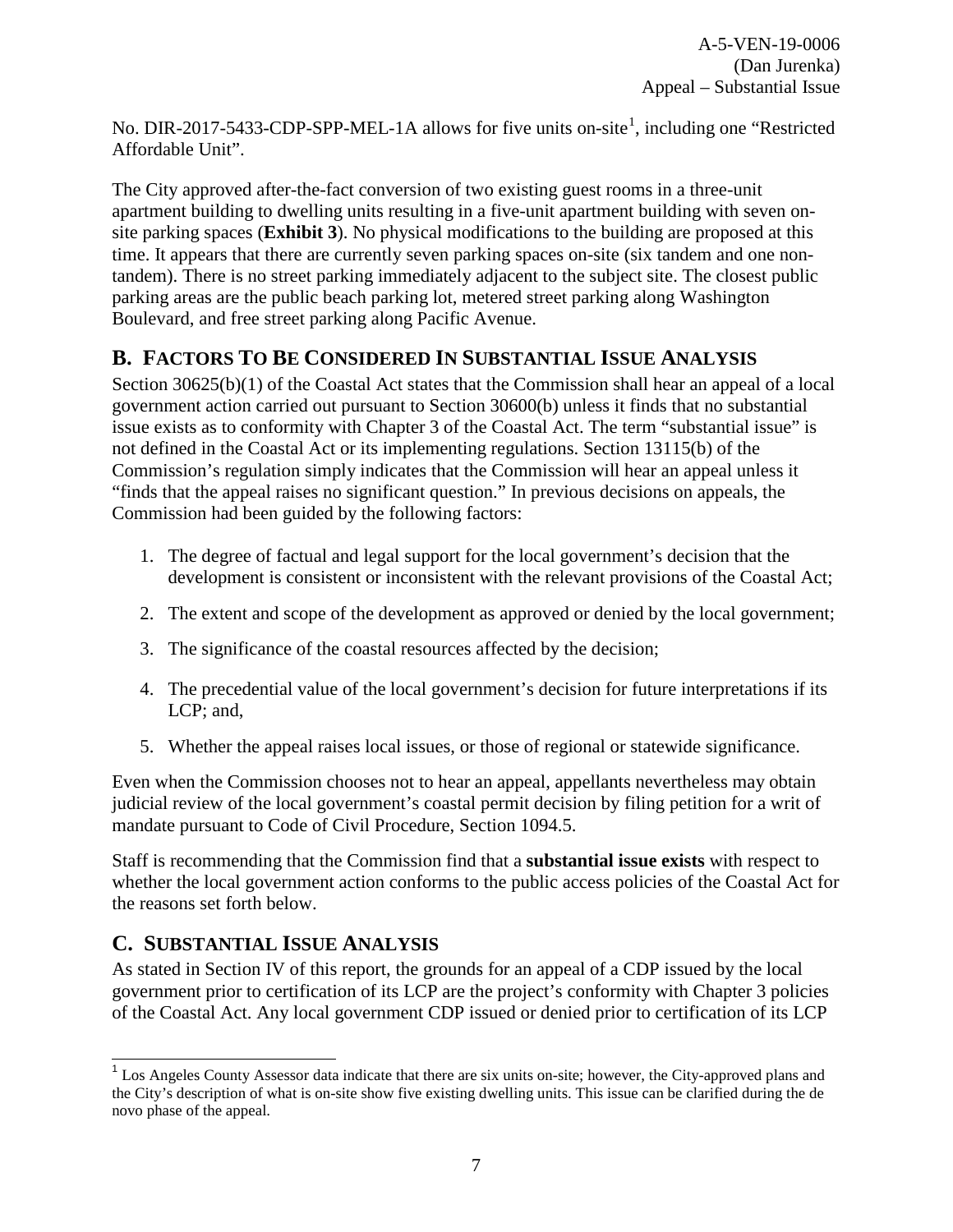No. DIR-20[1](#page-6-2)7-5433-CDP-SPP-MEL-1A allows for five units on-site<sup>1</sup>, including one "Restricted Affordable Unit".

The City approved after-the-fact conversion of two existing guest rooms in a three-unit apartment building to dwelling units resulting in a five-unit apartment building with seven onsite parking spaces (**[Exhibit 3](https://documents.coastal.ca.gov/reports/2019/3/W20b/W20b-3-2019-exhibits.pdf)**). No physical modifications to the building are proposed at this time. It appears that there are currently seven parking spaces on-site (six tandem and one nontandem). There is no street parking immediately adjacent to the subject site. The closest public parking areas are the public beach parking lot, metered street parking along Washington Boulevard, and free street parking along Pacific Avenue.

### <span id="page-6-0"></span>**B. FACTORS TO BE CONSIDERED IN SUBSTANTIAL ISSUE ANALYSIS**

Section 30625(b)(1) of the Coastal Act states that the Commission shall hear an appeal of a local government action carried out pursuant to Section 30600(b) unless it finds that no substantial issue exists as to conformity with Chapter 3 of the Coastal Act. The term "substantial issue" is not defined in the Coastal Act or its implementing regulations. Section 13115(b) of the Commission's regulation simply indicates that the Commission will hear an appeal unless it "finds that the appeal raises no significant question." In previous decisions on appeals, the Commission had been guided by the following factors:

- 1. The degree of factual and legal support for the local government's decision that the development is consistent or inconsistent with the relevant provisions of the Coastal Act;
- 2. The extent and scope of the development as approved or denied by the local government;
- 3. The significance of the coastal resources affected by the decision;
- 4. The precedential value of the local government's decision for future interpretations if its LCP; and,
- 5. Whether the appeal raises local issues, or those of regional or statewide significance.

Even when the Commission chooses not to hear an appeal, appellants nevertheless may obtain judicial review of the local government's coastal permit decision by filing petition for a writ of mandate pursuant to Code of Civil Procedure, Section 1094.5.

Staff is recommending that the Commission find that a **substantial issue exists** with respect to whether the local government action conforms to the public access policies of the Coastal Act for the reasons set forth below.

### <span id="page-6-1"></span>**C. SUBSTANTIAL ISSUE ANALYSIS**

As stated in Section IV of this report, the grounds for an appeal of a CDP issued by the local government prior to certification of its LCP are the project's conformity with Chapter 3 policies of the Coastal Act. Any local government CDP issued or denied prior to certification of its LCP

<span id="page-6-2"></span> $\overline{\phantom{a}}$ <sup>1</sup> Los Angeles County Assessor data indicate that there are six units on-site; however, the City-approved plans and the City's description of what is on-site show five existing dwelling units. This issue can be clarified during the de novo phase of the appeal.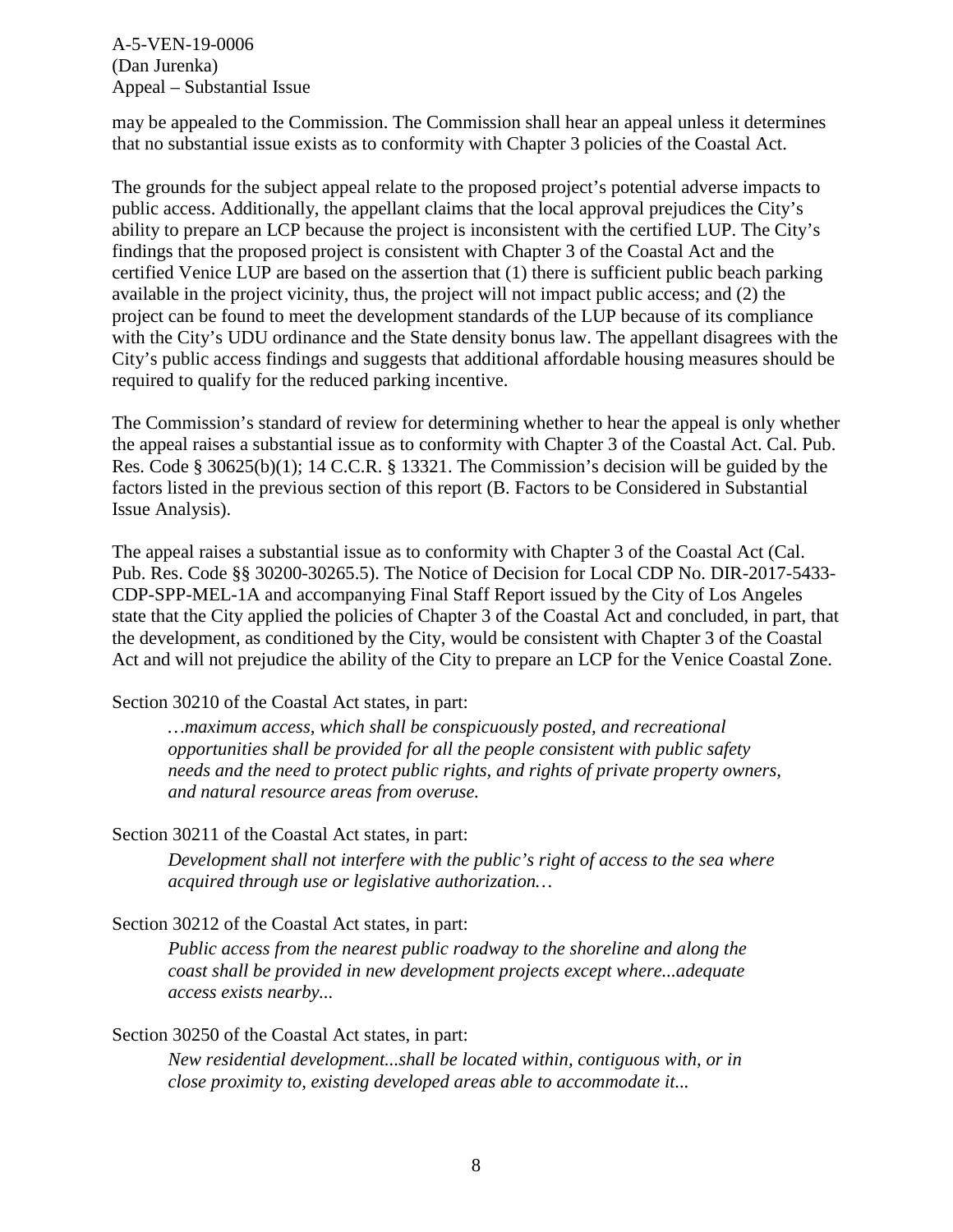may be appealed to the Commission. The Commission shall hear an appeal unless it determines that no substantial issue exists as to conformity with Chapter 3 policies of the Coastal Act.

The grounds for the subject appeal relate to the proposed project's potential adverse impacts to public access. Additionally, the appellant claims that the local approval prejudices the City's ability to prepare an LCP because the project is inconsistent with the certified LUP. The City's findings that the proposed project is consistent with Chapter 3 of the Coastal Act and the certified Venice LUP are based on the assertion that (1) there is sufficient public beach parking available in the project vicinity, thus, the project will not impact public access; and (2) the project can be found to meet the development standards of the LUP because of its compliance with the City's UDU ordinance and the State density bonus law. The appellant disagrees with the City's public access findings and suggests that additional affordable housing measures should be required to qualify for the reduced parking incentive.

The Commission's standard of review for determining whether to hear the appeal is only whether the appeal raises a substantial issue as to conformity with Chapter 3 of the Coastal Act. Cal. Pub. Res. Code § 30625(b)(1); 14 C.C.R. § 13321. The Commission's decision will be guided by the factors listed in the previous section of this report (B. Factors to be Considered in Substantial Issue Analysis).

The appeal raises a substantial issue as to conformity with Chapter 3 of the Coastal Act (Cal. Pub. Res. Code §§ 30200-30265.5). The Notice of Decision for Local CDP No. DIR-2017-5433- CDP-SPP-MEL-1A and accompanying Final Staff Report issued by the City of Los Angeles state that the City applied the policies of Chapter 3 of the Coastal Act and concluded, in part, that the development, as conditioned by the City, would be consistent with Chapter 3 of the Coastal Act and will not prejudice the ability of the City to prepare an LCP for the Venice Coastal Zone.

Section 30210 of the Coastal Act states, in part:

*…maximum access, which shall be conspicuously posted, and recreational opportunities shall be provided for all the people consistent with public safety needs and the need to protect public rights, and rights of private property owners, and natural resource areas from overuse.* 

Section 30211 of the Coastal Act states, in part:

*Development shall not interfere with the public's right of access to the sea where acquired through use or legislative authorization…* 

Section 30212 of the Coastal Act states, in part:

*Public access from the nearest public roadway to the shoreline and along the coast shall be provided in new development projects except where...adequate access exists nearby...* 

#### Section 30250 of the Coastal Act states, in part:

*New residential development...shall be located within, contiguous with, or in close proximity to, existing developed areas able to accommodate it...*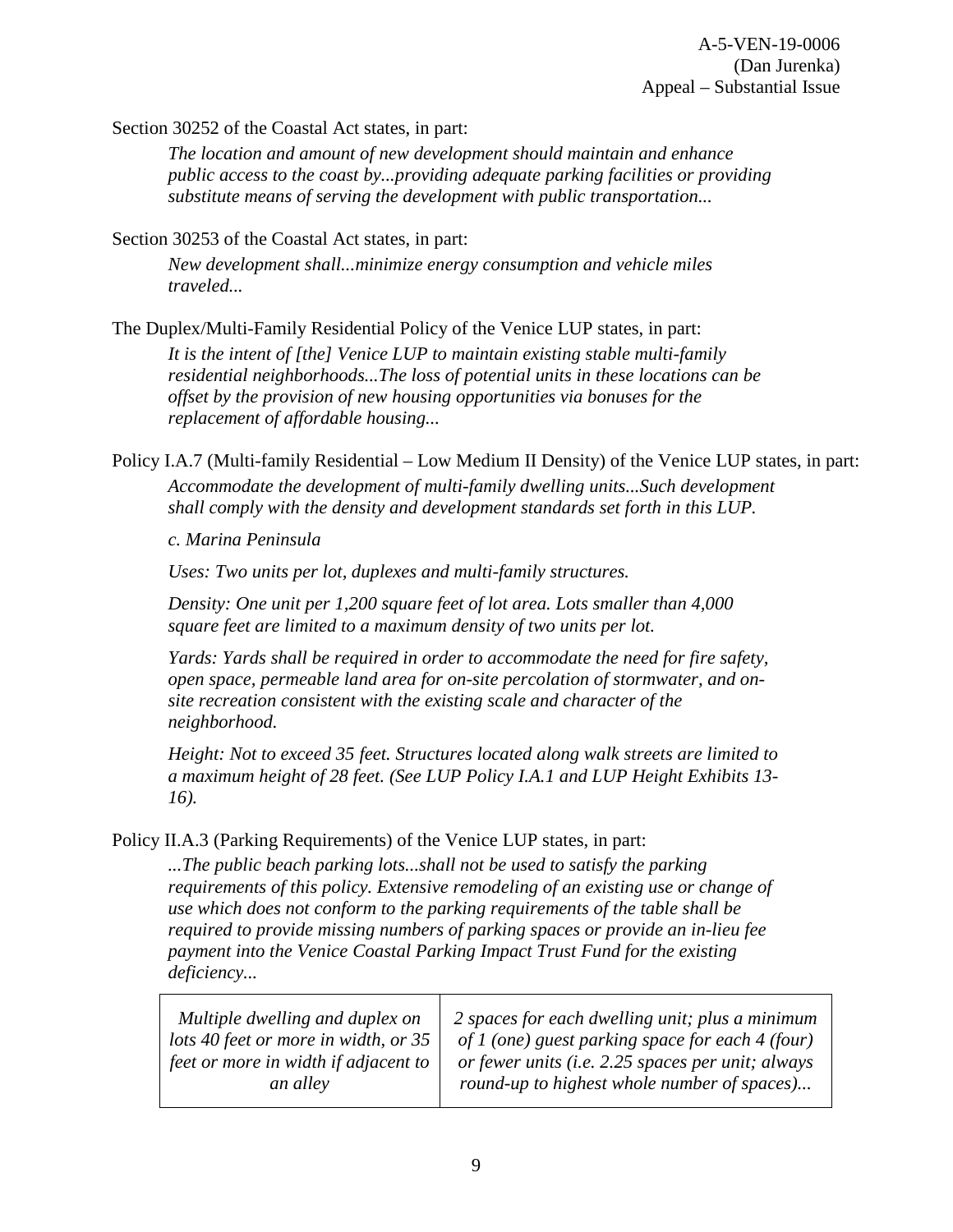Section 30252 of the Coastal Act states, in part:

*The location and amount of new development should maintain and enhance public access to the coast by...providing adequate parking facilities or providing substitute means of serving the development with public transportation...* 

Section 30253 of the Coastal Act states, in part:

*New development shall...minimize energy consumption and vehicle miles traveled...* 

The Duplex/Multi-Family Residential Policy of the Venice LUP states, in part: *It is the intent of [the] Venice LUP to maintain existing stable multi-family* 

*residential neighborhoods...The loss of potential units in these locations can be offset by the provision of new housing opportunities via bonuses for the replacement of affordable housing...* 

Policy I.A.7 (Multi-family Residential – Low Medium II Density) of the Venice LUP states, in part: *Accommodate the development of multi-family dwelling units...Such development shall comply with the density and development standards set forth in this LUP.* 

*c. Marina Peninsula* 

*Uses: Two units per lot, duplexes and multi-family structures.*

*Density: One unit per 1,200 square feet of lot area. Lots smaller than 4,000 square feet are limited to a maximum density of two units per lot.* 

*Yards: Yards shall be required in order to accommodate the need for fire safety, open space, permeable land area for on-site percolation of stormwater, and onsite recreation consistent with the existing scale and character of the neighborhood.* 

*Height: Not to exceed 35 feet. Structures located along walk streets are limited to a maximum height of 28 feet. (See LUP Policy I.A.1 and LUP Height Exhibits 13- 16).* 

Policy II.A.3 (Parking Requirements) of the Venice LUP states, in part:

*...The public beach parking lots...shall not be used to satisfy the parking requirements of this policy. Extensive remodeling of an existing use or change of use which does not conform to the parking requirements of the table shall be required to provide missing numbers of parking spaces or provide an in-lieu fee payment into the Venice Coastal Parking Impact Trust Fund for the existing deficiency...*

| Multiple dwelling and duplex on      | 2 spaces for each dwelling unit; plus a minimum   |
|--------------------------------------|---------------------------------------------------|
| lots 40 feet or more in width, or 35 | of 1 (one) guest parking space for each 4 (four)  |
| feet or more in width if adjacent to | or fewer units (i.e. 2.25 spaces per unit; always |
| an alley                             | round-up to highest whole number of spaces)       |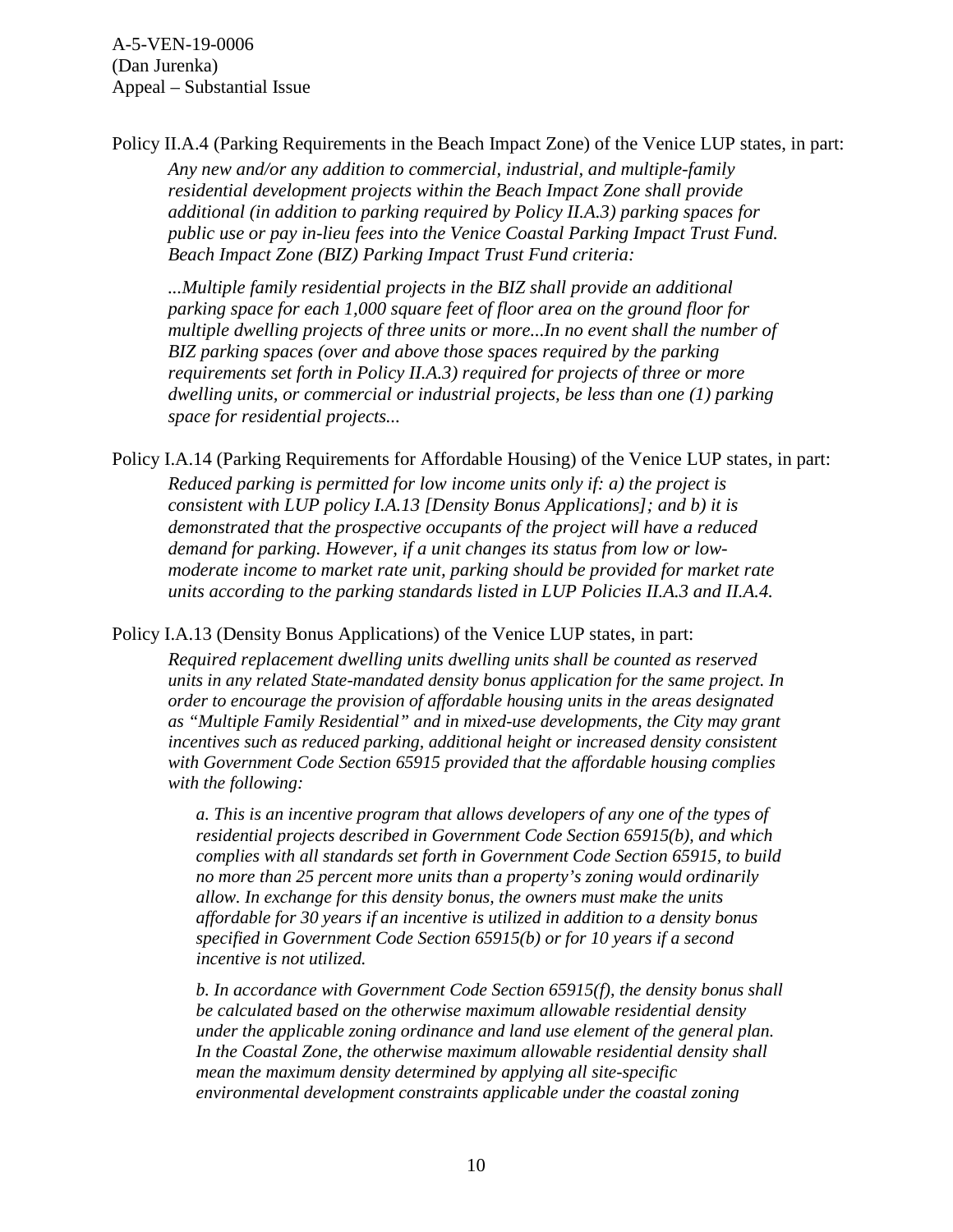Policy II.A.4 (Parking Requirements in the Beach Impact Zone) of the Venice LUP states, in part: *Any new and/or any addition to commercial, industrial, and multiple-family residential development projects within the Beach Impact Zone shall provide additional (in addition to parking required by Policy II.A.3) parking spaces for public use or pay in-lieu fees into the Venice Coastal Parking Impact Trust Fund. Beach Impact Zone (BIZ) Parking Impact Trust Fund criteria:* 

*...Multiple family residential projects in the BIZ shall provide an additional parking space for each 1,000 square feet of floor area on the ground floor for multiple dwelling projects of three units or more...In no event shall the number of BIZ parking spaces (over and above those spaces required by the parking requirements set forth in Policy II.A.3) required for projects of three or more dwelling units, or commercial or industrial projects, be less than one (1) parking space for residential projects...* 

Policy I.A.14 (Parking Requirements for Affordable Housing) of the Venice LUP states, in part: *Reduced parking is permitted for low income units only if: a) the project is consistent with LUP policy I.A.13 [Density Bonus Applications]; and b) it is demonstrated that the prospective occupants of the project will have a reduced demand for parking. However, if a unit changes its status from low or lowmoderate income to market rate unit, parking should be provided for market rate units according to the parking standards listed in LUP Policies II.A.3 and II.A.4.* 

Policy I.A.13 (Density Bonus Applications) of the Venice LUP states, in part:

*Required replacement dwelling units dwelling units shall be counted as reserved units in any related State-mandated density bonus application for the same project. In order to encourage the provision of affordable housing units in the areas designated as "Multiple Family Residential" and in mixed-use developments, the City may grant incentives such as reduced parking, additional height or increased density consistent with Government Code Section 65915 provided that the affordable housing complies with the following:*

*a. This is an incentive program that allows developers of any one of the types of residential projects described in Government Code Section 65915(b), and which complies with all standards set forth in Government Code Section 65915, to build no more than 25 percent more units than a property's zoning would ordinarily allow. In exchange for this density bonus, the owners must make the units affordable for 30 years if an incentive is utilized in addition to a density bonus specified in Government Code Section 65915(b) or for 10 years if a second incentive is not utilized.*

*b. In accordance with Government Code Section 65915(f), the density bonus shall be calculated based on the otherwise maximum allowable residential density under the applicable zoning ordinance and land use element of the general plan. In the Coastal Zone, the otherwise maximum allowable residential density shall mean the maximum density determined by applying all site-specific environmental development constraints applicable under the coastal zoning*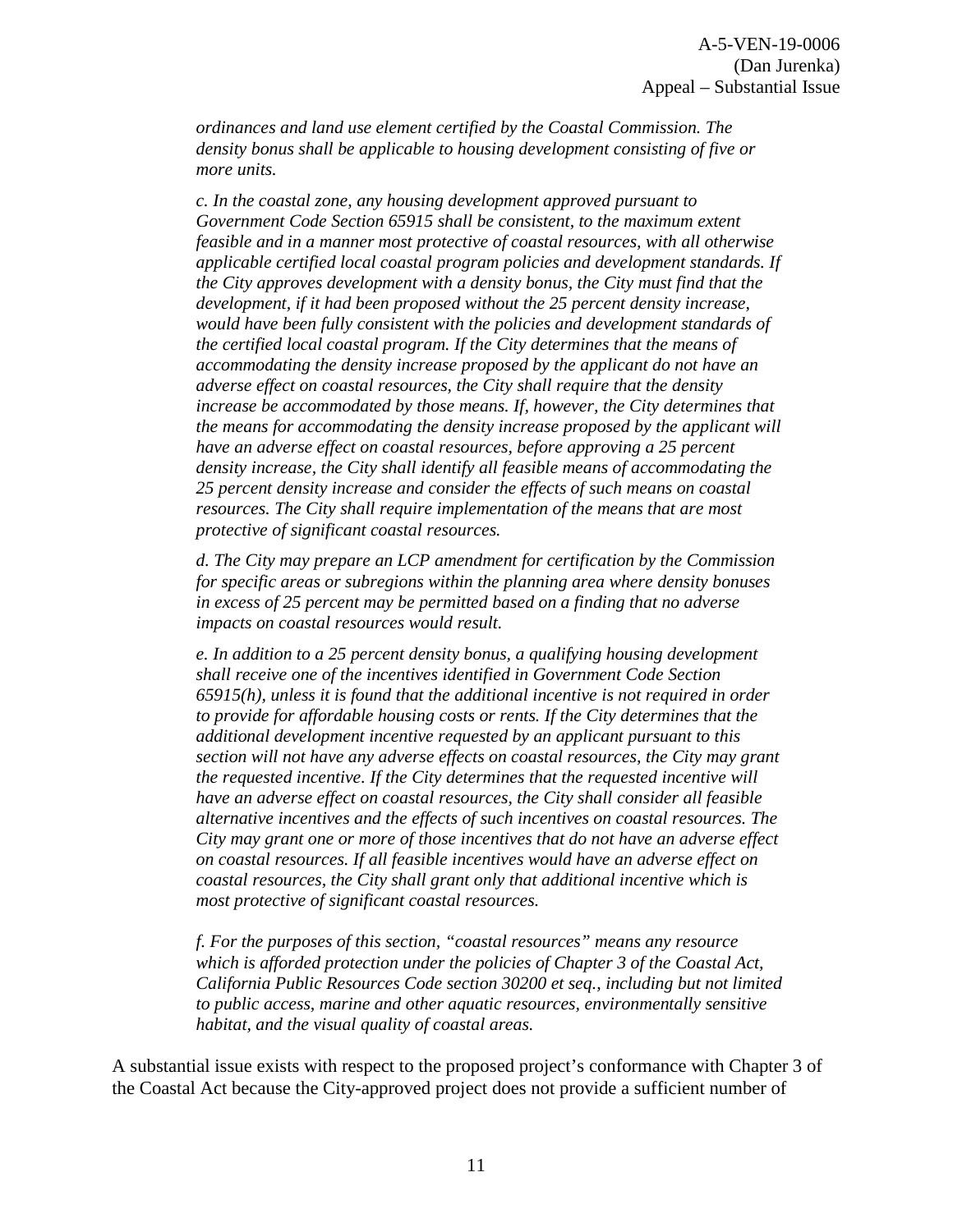*ordinances and land use element certified by the Coastal Commission. The density bonus shall be applicable to housing development consisting of five or more units.* 

*c. In the coastal zone, any housing development approved pursuant to Government Code Section 65915 shall be consistent, to the maximum extent feasible and in a manner most protective of coastal resources, with all otherwise applicable certified local coastal program policies and development standards. If the City approves development with a density bonus, the City must find that the development, if it had been proposed without the 25 percent density increase, would have been fully consistent with the policies and development standards of the certified local coastal program. If the City determines that the means of accommodating the density increase proposed by the applicant do not have an adverse effect on coastal resources, the City shall require that the density increase be accommodated by those means. If, however, the City determines that the means for accommodating the density increase proposed by the applicant will have an adverse effect on coastal resources, before approving a 25 percent density increase, the City shall identify all feasible means of accommodating the 25 percent density increase and consider the effects of such means on coastal resources. The City shall require implementation of the means that are most protective of significant coastal resources.* 

*d. The City may prepare an LCP amendment for certification by the Commission for specific areas or subregions within the planning area where density bonuses in excess of 25 percent may be permitted based on a finding that no adverse impacts on coastal resources would result.* 

*e. In addition to a 25 percent density bonus, a qualifying housing development shall receive one of the incentives identified in Government Code Section 65915(h), unless it is found that the additional incentive is not required in order to provide for affordable housing costs or rents. If the City determines that the additional development incentive requested by an applicant pursuant to this section will not have any adverse effects on coastal resources, the City may grant the requested incentive. If the City determines that the requested incentive will have an adverse effect on coastal resources, the City shall consider all feasible alternative incentives and the effects of such incentives on coastal resources. The City may grant one or more of those incentives that do not have an adverse effect on coastal resources. If all feasible incentives would have an adverse effect on coastal resources, the City shall grant only that additional incentive which is most protective of significant coastal resources.* 

*f. For the purposes of this section, "coastal resources" means any resource which is afforded protection under the policies of Chapter 3 of the Coastal Act, California Public Resources Code section 30200 et seq., including but not limited to public access, marine and other aquatic resources, environmentally sensitive habitat, and the visual quality of coastal areas.* 

A substantial issue exists with respect to the proposed project's conformance with Chapter 3 of the Coastal Act because the City-approved project does not provide a sufficient number of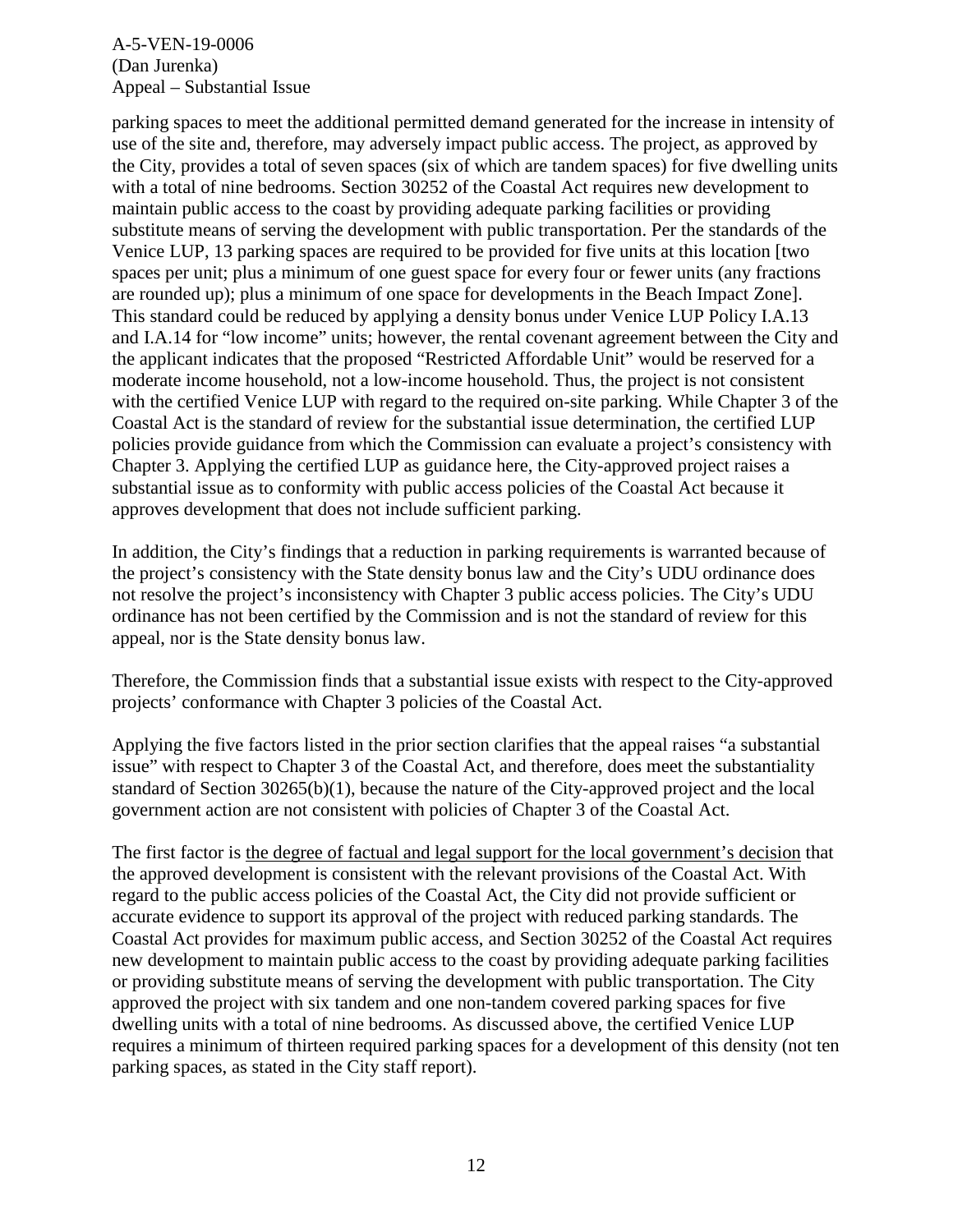parking spaces to meet the additional permitted demand generated for the increase in intensity of use of the site and, therefore, may adversely impact public access. The project, as approved by the City, provides a total of seven spaces (six of which are tandem spaces) for five dwelling units with a total of nine bedrooms. Section 30252 of the Coastal Act requires new development to maintain public access to the coast by providing adequate parking facilities or providing substitute means of serving the development with public transportation. Per the standards of the Venice LUP, 13 parking spaces are required to be provided for five units at this location [two spaces per unit; plus a minimum of one guest space for every four or fewer units (any fractions are rounded up); plus a minimum of one space for developments in the Beach Impact Zone]. This standard could be reduced by applying a density bonus under Venice LUP Policy I.A.13 and I.A.14 for "low income" units; however, the rental covenant agreement between the City and the applicant indicates that the proposed "Restricted Affordable Unit" would be reserved for a moderate income household, not a low-income household. Thus, the project is not consistent with the certified Venice LUP with regard to the required on-site parking. While Chapter 3 of the Coastal Act is the standard of review for the substantial issue determination, the certified LUP policies provide guidance from which the Commission can evaluate a project's consistency with Chapter 3. Applying the certified LUP as guidance here, the City-approved project raises a substantial issue as to conformity with public access policies of the Coastal Act because it approves development that does not include sufficient parking.

In addition, the City's findings that a reduction in parking requirements is warranted because of the project's consistency with the State density bonus law and the City's UDU ordinance does not resolve the project's inconsistency with Chapter 3 public access policies. The City's UDU ordinance has not been certified by the Commission and is not the standard of review for this appeal, nor is the State density bonus law.

Therefore, the Commission finds that a substantial issue exists with respect to the City-approved projects' conformance with Chapter 3 policies of the Coastal Act.

Applying the five factors listed in the prior section clarifies that the appeal raises "a substantial issue" with respect to Chapter 3 of the Coastal Act, and therefore, does meet the substantiality standard of Section 30265(b)(1), because the nature of the City-approved project and the local government action are not consistent with policies of Chapter 3 of the Coastal Act.

The first factor is the degree of factual and legal support for the local government's decision that the approved development is consistent with the relevant provisions of the Coastal Act. With regard to the public access policies of the Coastal Act, the City did not provide sufficient or accurate evidence to support its approval of the project with reduced parking standards. The Coastal Act provides for maximum public access, and Section 30252 of the Coastal Act requires new development to maintain public access to the coast by providing adequate parking facilities or providing substitute means of serving the development with public transportation. The City approved the project with six tandem and one non-tandem covered parking spaces for five dwelling units with a total of nine bedrooms. As discussed above, the certified Venice LUP requires a minimum of thirteen required parking spaces for a development of this density (not ten parking spaces, as stated in the City staff report).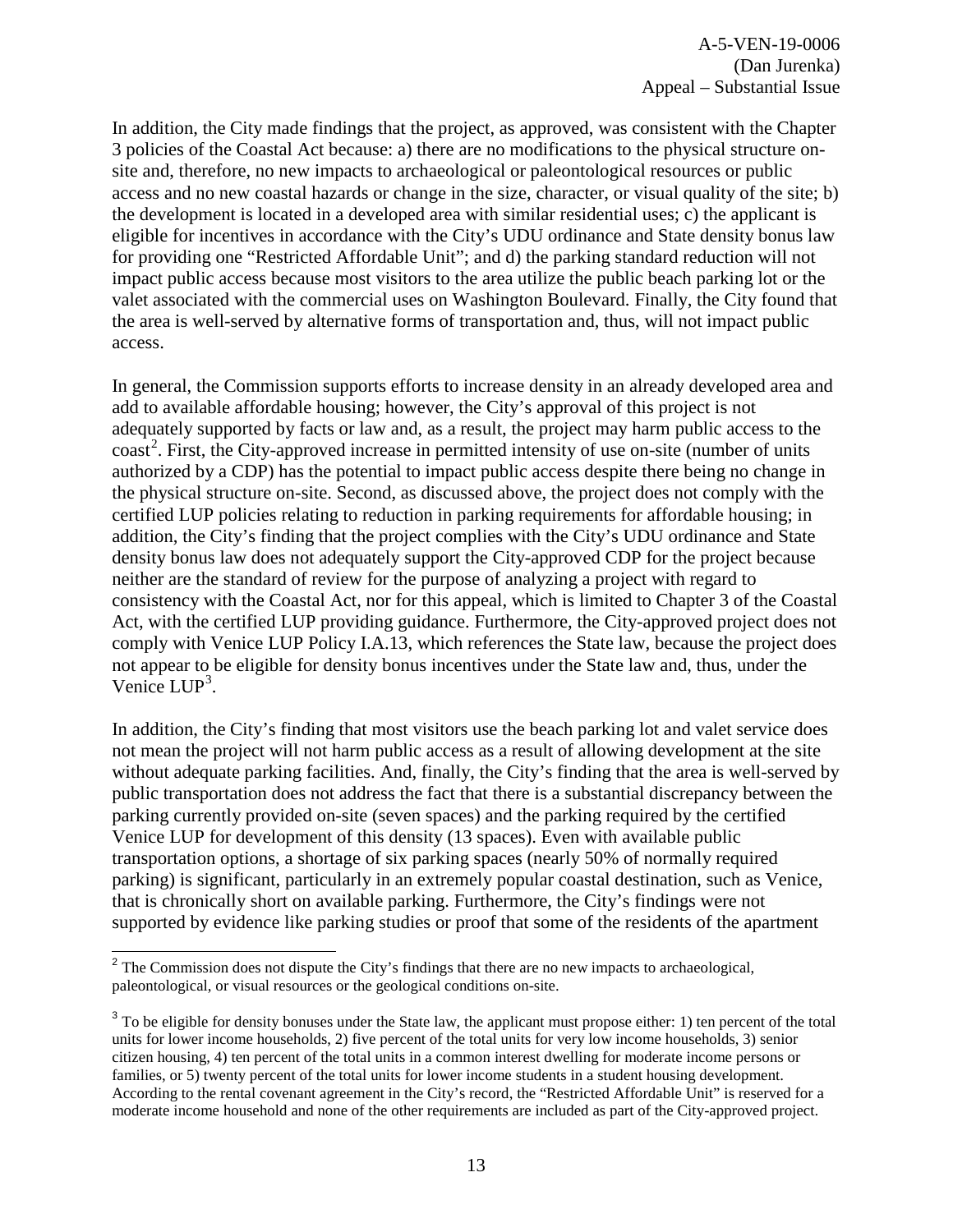In addition, the City made findings that the project, as approved, was consistent with the Chapter 3 policies of the Coastal Act because: a) there are no modifications to the physical structure onsite and, therefore, no new impacts to archaeological or paleontological resources or public access and no new coastal hazards or change in the size, character, or visual quality of the site; b) the development is located in a developed area with similar residential uses; c) the applicant is eligible for incentives in accordance with the City's UDU ordinance and State density bonus law for providing one "Restricted Affordable Unit"; and d) the parking standard reduction will not impact public access because most visitors to the area utilize the public beach parking lot or the valet associated with the commercial uses on Washington Boulevard. Finally, the City found that the area is well-served by alternative forms of transportation and, thus, will not impact public access.

In general, the Commission supports efforts to increase density in an already developed area and add to available affordable housing; however, the City's approval of this project is not adequately supported by facts or law and, as a result, the project may harm public access to the coast<sup>[2](#page-12-0)</sup>. First, the City-approved increase in permitted intensity of use on-site (number of units authorized by a CDP) has the potential to impact public access despite there being no change in the physical structure on-site. Second, as discussed above, the project does not comply with the certified LUP policies relating to reduction in parking requirements for affordable housing; in addition, the City's finding that the project complies with the City's UDU ordinance and State density bonus law does not adequately support the City-approved CDP for the project because neither are the standard of review for the purpose of analyzing a project with regard to consistency with the Coastal Act, nor for this appeal, which is limited to Chapter 3 of the Coastal Act, with the certified LUP providing guidance. Furthermore, the City-approved project does not comply with Venice LUP Policy I.A.13, which references the State law, because the project does not appear to be eligible for density bonus incentives under the State law and, thus, under the Venice LUP<sup>[3](#page-12-1)</sup>.

In addition, the City's finding that most visitors use the beach parking lot and valet service does not mean the project will not harm public access as a result of allowing development at the site without adequate parking facilities. And, finally, the City's finding that the area is well-served by public transportation does not address the fact that there is a substantial discrepancy between the parking currently provided on-site (seven spaces) and the parking required by the certified Venice LUP for development of this density (13 spaces). Even with available public transportation options, a shortage of six parking spaces (nearly 50% of normally required parking) is significant, particularly in an extremely popular coastal destination, such as Venice, that is chronically short on available parking. Furthermore, the City's findings were not supported by evidence like parking studies or proof that some of the residents of the apartment

<span id="page-12-0"></span> $\overline{\phantom{a}}$  $2^2$  The Commission does not dispute the City's findings that there are no new impacts to archaeological, paleontological, or visual resources or the geological conditions on-site.

<span id="page-12-1"></span><sup>&</sup>lt;sup>3</sup> To be eligible for density bonuses under the State law, the applicant must propose either: 1) ten percent of the total units for lower income households, 2) five percent of the total units for very low income households, 3) senior citizen housing, 4) ten percent of the total units in a common interest dwelling for moderate income persons or families, or 5) twenty percent of the total units for lower income students in a student housing development. According to the rental covenant agreement in the City's record, the "Restricted Affordable Unit" is reserved for a moderate income household and none of the other requirements are included as part of the City-approved project.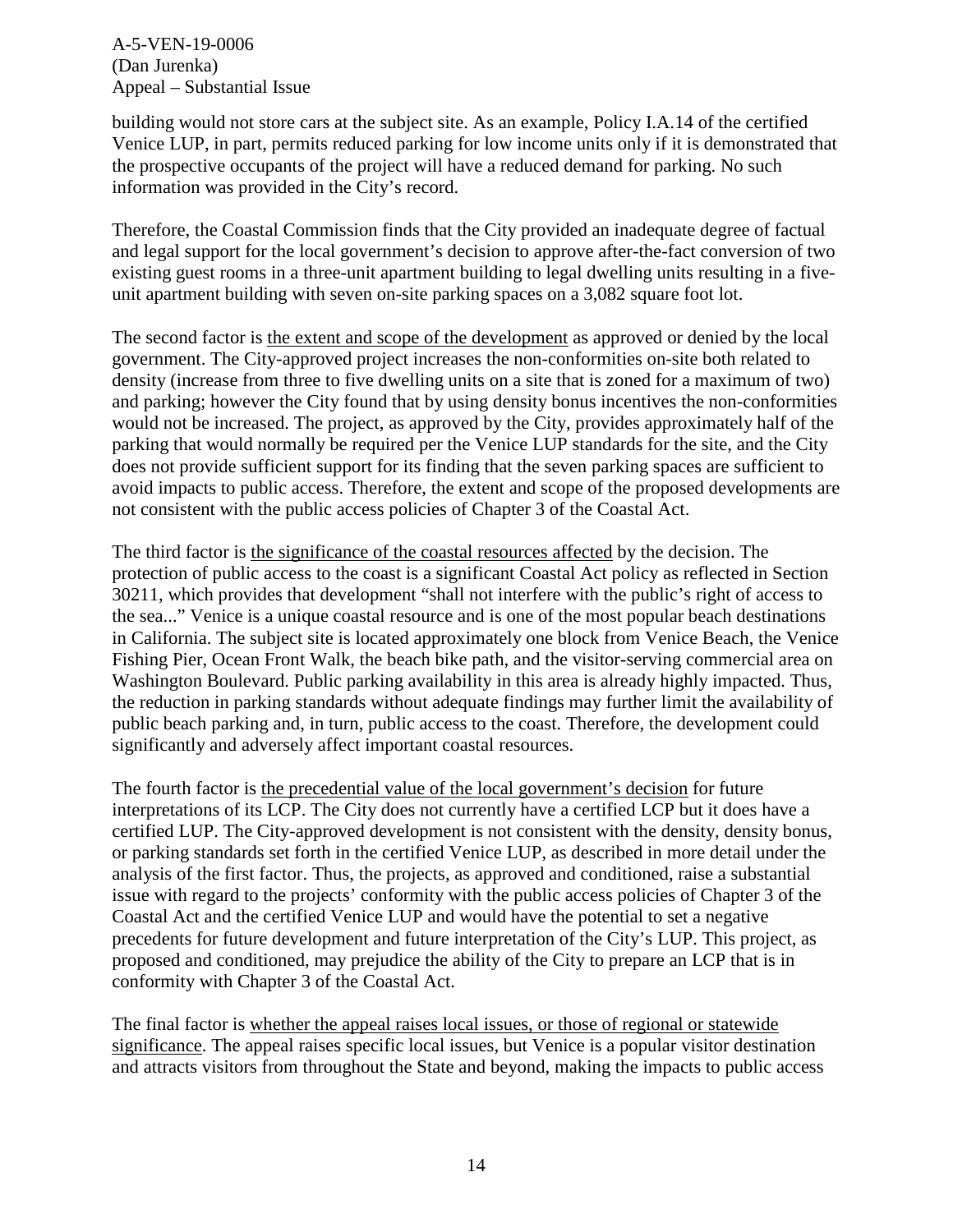building would not store cars at the subject site. As an example, Policy I.A.14 of the certified Venice LUP, in part, permits reduced parking for low income units only if it is demonstrated that the prospective occupants of the project will have a reduced demand for parking. No such information was provided in the City's record.

Therefore, the Coastal Commission finds that the City provided an inadequate degree of factual and legal support for the local government's decision to approve after-the-fact conversion of two existing guest rooms in a three-unit apartment building to legal dwelling units resulting in a fiveunit apartment building with seven on-site parking spaces on a 3,082 square foot lot.

The second factor is the extent and scope of the development as approved or denied by the local government. The City-approved project increases the non-conformities on-site both related to density (increase from three to five dwelling units on a site that is zoned for a maximum of two) and parking; however the City found that by using density bonus incentives the non-conformities would not be increased. The project, as approved by the City, provides approximately half of the parking that would normally be required per the Venice LUP standards for the site, and the City does not provide sufficient support for its finding that the seven parking spaces are sufficient to avoid impacts to public access. Therefore, the extent and scope of the proposed developments are not consistent with the public access policies of Chapter 3 of the Coastal Act.

The third factor is the significance of the coastal resources affected by the decision. The protection of public access to the coast is a significant Coastal Act policy as reflected in Section 30211, which provides that development "shall not interfere with the public's right of access to the sea..." Venice is a unique coastal resource and is one of the most popular beach destinations in California. The subject site is located approximately one block from Venice Beach, the Venice Fishing Pier, Ocean Front Walk, the beach bike path, and the visitor-serving commercial area on Washington Boulevard. Public parking availability in this area is already highly impacted. Thus, the reduction in parking standards without adequate findings may further limit the availability of public beach parking and, in turn, public access to the coast. Therefore, the development could significantly and adversely affect important coastal resources.

The fourth factor is the precedential value of the local government's decision for future interpretations of its LCP. The City does not currently have a certified LCP but it does have a certified LUP. The City-approved development is not consistent with the density, density bonus, or parking standards set forth in the certified Venice LUP, as described in more detail under the analysis of the first factor. Thus, the projects, as approved and conditioned, raise a substantial issue with regard to the projects' conformity with the public access policies of Chapter 3 of the Coastal Act and the certified Venice LUP and would have the potential to set a negative precedents for future development and future interpretation of the City's LUP. This project, as proposed and conditioned, may prejudice the ability of the City to prepare an LCP that is in conformity with Chapter 3 of the Coastal Act.

The final factor is whether the appeal raises local issues, or those of regional or statewide significance. The appeal raises specific local issues, but Venice is a popular visitor destination and attracts visitors from throughout the State and beyond, making the impacts to public access